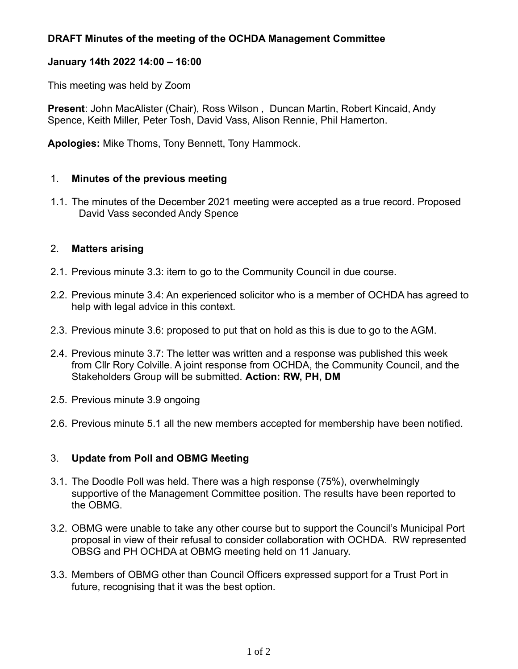## **DRAFT Minutes of the meeting of the OCHDA Management Committee**

#### **January 14th 2022 14:00 – 16:00**

This meeting was held by Zoom

**Present**: John MacAlister (Chair), Ross Wilson , Duncan Martin, Robert Kincaid, Andy Spence, Keith Miller, Peter Tosh, David Vass, Alison Rennie, Phil Hamerton.

**Apologies:** Mike Thoms, Tony Bennett, Tony Hammock.

#### 1. **Minutes of the previous meeting**

 1.1. The minutes of the December 2021 meeting were accepted as a true record. Proposed David Vass seconded Andy Spence

#### 2. **Matters arising**

- 2.1. Previous minute 3.3: item to go to the Community Council in due course.
- 2.2. Previous minute 3.4: An experienced solicitor who is a member of OCHDA has agreed to help with legal advice in this context.
- 2.3. Previous minute 3.6: proposed to put that on hold as this is due to go to the AGM.
- 2.4. Previous minute 3.7: The letter was written and a response was published this week from Cllr Rory Colville. A joint response from OCHDA, the Community Council, and the Stakeholders Group will be submitted. **Action: RW, PH, DM**
- 2.5. Previous minute 3.9 ongoing
- 2.6. Previous minute 5.1 all the new members accepted for membership have been notified.

## 3. **Update from Poll and OBMG Meeting**

- 3.1. The Doodle Poll was held. There was a high response (75%), overwhelmingly supportive of the Management Committee position. The results have been reported to the OBMG.
- 3.2. OBMG were unable to take any other course but to support the Council's Municipal Port proposal in view of their refusal to consider collaboration with OCHDA. RW represented OBSG and PH OCHDA at OBMG meeting held on 11 January.
- 3.3. Members of OBMG other than Council Officers expressed support for a Trust Port in future, recognising that it was the best option.